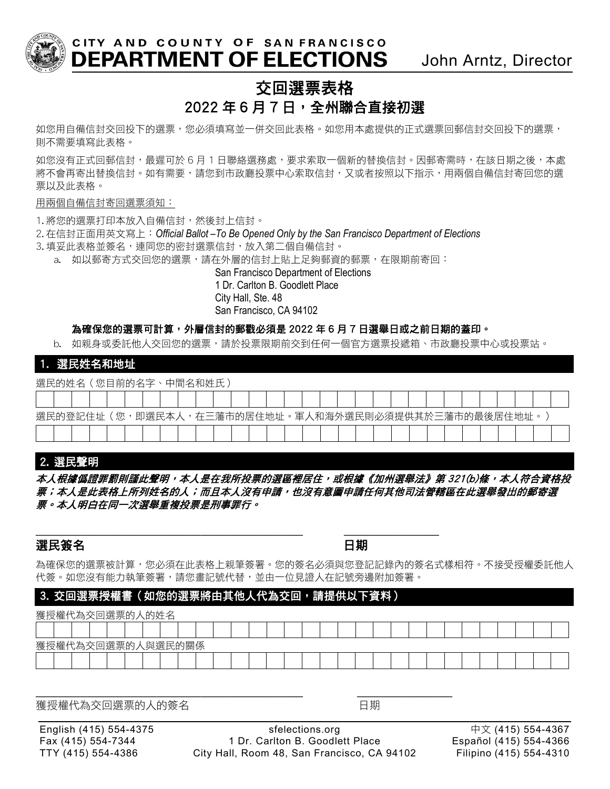

CITY AND COUNTY OF SAN FRANCISCO DEPARTMENT OF ELECTIONS John Arntz, Director

# 交回選票表格  $2022 \ncong 6$  月 7 日, 全州聯合直接初選

如您用自備信封交回投下的選票,您必須填寫並一併交回此表格。如您用本處提供的正式選票回郵信封交回投下的選票, 則不需要填寫此表格。

如您沒有正式回郵信封,最遲可於 6 月 1 日聯絡選務處,要求索取一個新的替換信封。因郵寄需時,在該日期之後,本處 將不會再寄出替換信封。如有需要,請您到市政廳投票中心索取信封,又或者按照以下指示,用兩個自備信封寄回您的選 票以及此表格。

#### 用兩個自備信封寄回選票須知:

1. 將您的選票打印本放入自備信封,然後封上信封。

2. 在信封正面用英文寫上:*Official Ballot –To Be Opened Only by the San Francisco Department of Elections*

- 3. 填妥此表格並簽名, 連同您的密封選票信封, 放入第二個自備信封。
	- a. 如以郵寄方式交回您的選票,請在外層的信封上貼上足夠郵資的郵票,在限期前寄回:

San Francisco Department of Elections 1 Dr. Carlton B. Goodlett Place City Hall, Ste. 48 San Francisco, CA 94102

### 為確保您的選票可計算,外層信封的郵戳必須是 2022 年 6 月 7 日選舉日或之前日期的蓋印。

b. 如親身或委託他人交回您的選票,請於投票限期前交到任何一個官方選票投遞箱、市政廳投票中心或投票站。

### 1. 選民姓名和地址

選民的姓名(您目前的名字、中間名和姓氏)

| .                                                        |  |  |  |  |  |  |  |  |  |  |  |  |  |  |  |  |  |  |  |  |  |  |
|----------------------------------------------------------|--|--|--|--|--|--|--|--|--|--|--|--|--|--|--|--|--|--|--|--|--|--|
|                                                          |  |  |  |  |  |  |  |  |  |  |  |  |  |  |  |  |  |  |  |  |  |  |
| (您,即選民本人,在三藩市的居住地址。軍人和海外選民則必須提供其於三藩市的最後居住地址。<br>選民的登記住址( |  |  |  |  |  |  |  |  |  |  |  |  |  |  |  |  |  |  |  |  |  |  |
|                                                          |  |  |  |  |  |  |  |  |  |  |  |  |  |  |  |  |  |  |  |  |  |  |

## 2.選民聲明

本人根據僞證罪罰則謹此聲明,本人是在我所投票的選區裡居住,或根據《加州選舉法》第 321(b)條,本人符合資格投 票;本人是此表格上所列姓名的人;而且本人沒有申請,也沒有意圖申請任何其他司法管轄區在此選舉發出的郵寄選 票。本人明白在同一次選舉重複投票是刑事罪行。

## 選民簽名 日期

\_\_\_\_\_\_\_\_\_\_\_\_\_\_\_\_\_\_\_\_\_\_\_\_\_\_\_\_\_\_\_\_\_\_\_\_\_\_\_\_\_\_ \_\_\_\_\_\_\_\_\_\_\_\_\_\_\_

為確保您的選票被計算,您必須在此表格上親筆簽署。您的簽名必須與您登記記錄內的簽名式樣相符。不接受授權委託他人 代簽。如您沒有能力執筆簽署,請您畫記號代替,並由一位見證人在記號旁邊附加簽署。

## 3.交回選票授權書(如您的選票將由其他人代為交回,請提供以下資料)

\_\_\_\_\_\_\_\_\_\_\_\_\_\_\_\_\_\_\_\_\_\_\_\_\_\_\_\_\_\_\_\_\_\_\_\_\_\_\_\_\_\_ \_\_\_\_\_\_\_\_\_\_\_\_\_\_\_

| 獲授權代為交回選票的人的姓名    |  |  |  |  |  |  |  |  |  |  |  |  |  |  |  |  |  |  |  |  |  |
|-------------------|--|--|--|--|--|--|--|--|--|--|--|--|--|--|--|--|--|--|--|--|--|
|                   |  |  |  |  |  |  |  |  |  |  |  |  |  |  |  |  |  |  |  |  |  |
| 獲授權代為交回選票的人與選民的關係 |  |  |  |  |  |  |  |  |  |  |  |  |  |  |  |  |  |  |  |  |  |
|                   |  |  |  |  |  |  |  |  |  |  |  |  |  |  |  |  |  |  |  |  |  |

獲授權代為交回選票的人的簽名 しんしん しゅうしゃ 日期

English (415) 554-4375 sfelections.org 中文 (415) 554-4367 Fax (415) 554-7344 1 Dr. Carlton B. Goodlett Place Español (415) 554-4366 TTY (415) 554-4386 City Hall, Room 48, San Francisco, CA 94102 Filipino (415) 554-4310